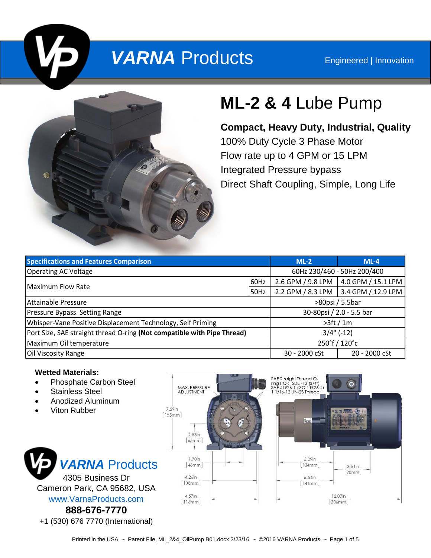# **VARNA** Products Engineered | Innovation



# **ML-2 & 4** Lube Pump

**Compact, Heavy Duty, Industrial, Quality** 100% Duty Cycle 3 Phase Motor Flow rate up to 4 GPM or 15 LPM Integrated Pressure bypass Direct Shaft Coupling, Simple, Long Life

| <b>Specifications and Features Comparison</b>                           |      | $ML-2$                      | $ML-4$                                 |
|-------------------------------------------------------------------------|------|-----------------------------|----------------------------------------|
| <b>Operating AC Voltage</b>                                             |      | 60Hz 230/460 - 50Hz 200/400 |                                        |
| <b>Maximum Flow Rate</b>                                                | 60Hz |                             | 2.6 GPM / 9.8 LPM   4.0 GPM / 15.1 LPM |
|                                                                         | 50Hz |                             | 2.2 GPM / 8.3 LPM 3.4 GPM / 12.9 LPM   |
| Attainable Pressure                                                     |      | >80psi / 5.5bar             |                                        |
| Pressure Bypass Setting Range                                           |      | 30-80psi / 2.0 - 5.5 bar    |                                        |
| Whisper-Vane Positive Displacement Technology, Self Priming             |      | >3ft/1m                     |                                        |
| Port Size, SAE straight thread O-ring (Not compatible with Pipe Thread) |      | $3/4$ " (-12)               |                                        |
| Maximum Oil temperature                                                 |      | 250°f / 120°c               |                                        |
| Oil Viscosity Range                                                     |      | 30 - 2000 cSt               | 20 - 2000 cSt                          |

#### **Wetted Materials:**

- Phosphate Carbon Steel
- Stainless Steel
- Anodized Aluminum
- Viton Rubber



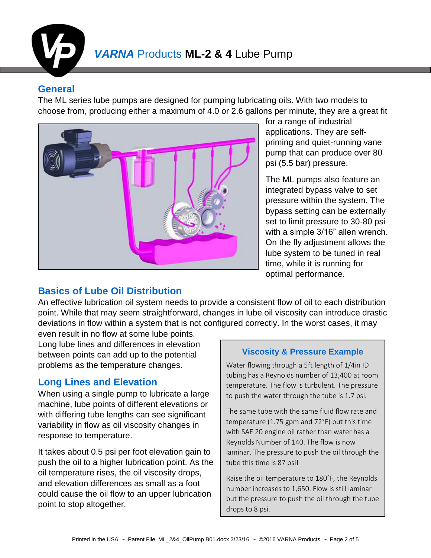

## **General**

The ML series lube pumps are designed for pumping lubricating oils. With two models to choose from, producing either a maximum of 4.0 or 2.6 gallons per minute, they are a great fit



for a range of industrial applications. They are selfpriming and quiet-running vane pump that can produce over 80 psi (5.5 bar) pressure.

The ML pumps also feature an integrated bypass valve to set pressure within the system. The bypass setting can be externally set to limit pressure to 30-80 psi with a simple 3/16" allen wrench. On the fly adjustment allows the lube system to be tuned in real time, while it is running for optimal performance.

# **Basics of Lube Oil Distribution**

An effective lubrication oil system needs to provide a consistent flow of oil to each distribution point. While that may seem straightforward, changes in lube oil viscosity can introduce drastic deviations in flow within a system that is not configured correctly. In the worst cases, it may

even result in no flow at some lube points. Long lube lines and differences in elevation between points can add up to the potential problems as the temperature changes.

# **Long Lines and Elevation**

When using a single pump to lubricate a large machine, lube points of different elevations or with differing tube lengths can see significant variability in flow as oil viscosity changes in response to temperature.

It takes about 0.5 psi per foot elevation gain to push the oil to a higher lubrication point. As the oil temperature rises, the oil viscosity drops, and elevation differences as small as a foot could cause the oil flow to an upper lubrication point to stop altogether.

#### **Viscosity & Pressure Example**

Water flowing through a 5ft length of 1/4in ID tubing has a Reynolds number of 13,400 at room temperature. The flow is turbulent. The pressure to push the water through the tube is 1.7 psi.

The same tube with the same fluid flow rate and temperature (1.75 gpm and 72°F) but this time with SAE 20 engine oil rather than water has a Reynolds Number of 140. The flow is now laminar. The pressure to push the oil through the tube this time is 87 psi!

Raise the oil temperature to 180°F, the Reynolds number increases to 1,650. Flow is still laminar but the pressure to push the oil through the tube drops to 8 psi.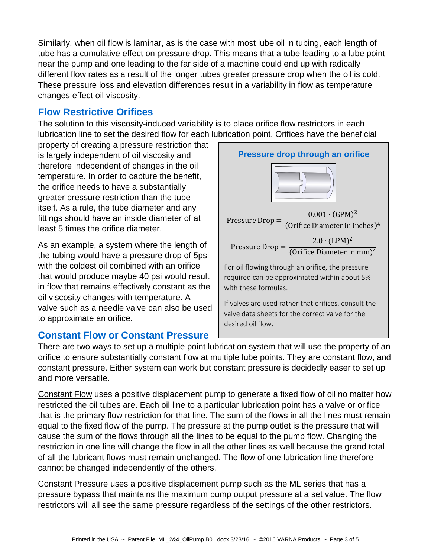Similarly, when oil flow is laminar, as is the case with most lube oil in tubing, each length of tube has a cumulative effect on pressure drop. This means that a tube leading to a lube point near the pump and one leading to the far side of a machine could end up with radically different flow rates as a result of the longer tubes greater pressure drop when the oil is cold. These pressure loss and elevation differences result in a variability in flow as temperature changes effect oil viscosity.

## **Flow Restrictive Orifices**

The solution to this viscosity-induced variability is to place orifice flow restrictors in each lubrication line to set the desired flow for each lubrication point. Orifices have the beneficial

property of creating a pressure restriction that is largely independent of oil viscosity and therefore independent of changes in the oil temperature. In order to capture the benefit, the orifice needs to have a substantially greater pressure restriction than the tube itself. As a rule, the tube diameter and any fittings should have an inside diameter of at least 5 times the orifice diameter.

As an example, a system where the length of the tubing would have a pressure drop of 5psi with the coldest oil combined with an orifice that would produce maybe 40 psi would result in flow that remains effectively constant as the oil viscosity changes with temperature. A valve such as a needle valve can also be used to approximate an orifice.

### **Constant Flow or Constant Pressure**



There are two ways to set up a multiple point lubrication system that will use the property of an orifice to ensure substantially constant flow at multiple lube points. They are constant flow, and constant pressure. Either system can work but constant pressure is decidedly easer to set up and more versatile.

Constant Flow uses a positive displacement pump to generate a fixed flow of oil no matter how restricted the oil tubes are. Each oil line to a particular lubrication point has a valve or orifice that is the primary flow restriction for that line. The sum of the flows in all the lines must remain equal to the fixed flow of the pump. The pressure at the pump outlet is the pressure that will cause the sum of the flows through all the lines to be equal to the pump flow. Changing the restriction in one line will change the flow in all the other lines as well because the grand total of all the lubricant flows must remain unchanged. The flow of one lubrication line therefore cannot be changed independently of the others.

Constant Pressure uses a positive displacement pump such as the ML series that has a pressure bypass that maintains the maximum pump output pressure at a set value. The flow restrictors will all see the same pressure regardless of the settings of the other restrictors.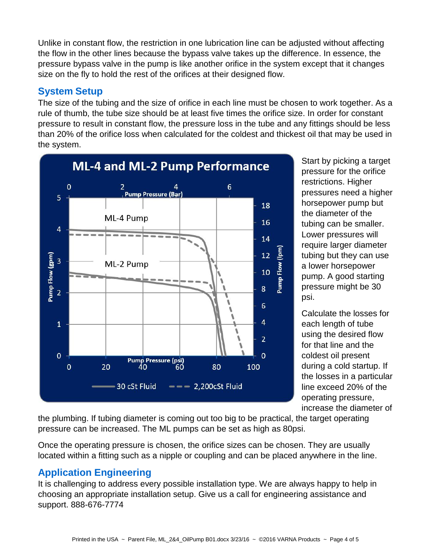Unlike in constant flow, the restriction in one lubrication line can be adjusted without affecting the flow in the other lines because the bypass valve takes up the difference. In essence, the pressure bypass valve in the pump is like another orifice in the system except that it changes size on the fly to hold the rest of the orifices at their designed flow.

## **System Setup**

The size of the tubing and the size of orifice in each line must be chosen to work together. As a rule of thumb, the tube size should be at least five times the orifice size. In order for constant pressure to result in constant flow, the pressure loss in the tube and any fittings should be less than 20% of the orifice loss when calculated for the coldest and thickest oil that may be used in the system.



Start by picking a target pressure for the orifice restrictions. Higher pressures need a higher horsepower pump but the diameter of the tubing can be smaller. Lower pressures will require larger diameter tubing but they can use a lower horsepower pump. A good starting pressure might be 30 psi.

Calculate the losses for each length of tube using the desired flow for that line and the coldest oil present during a cold startup. If the losses in a particular line exceed 20% of the operating pressure, increase the diameter of

the plumbing. If tubing diameter is coming out too big to be practical, the target operating pressure can be increased. The ML pumps can be set as high as 80psi.

Once the operating pressure is chosen, the orifice sizes can be chosen. They are usually located within a fitting such as a nipple or coupling and can be placed anywhere in the line.

# **Application Engineering**

It is challenging to address every possible installation type. We are always happy to help in choosing an appropriate installation setup. Give us a call for engineering assistance and support. 888-676-7774